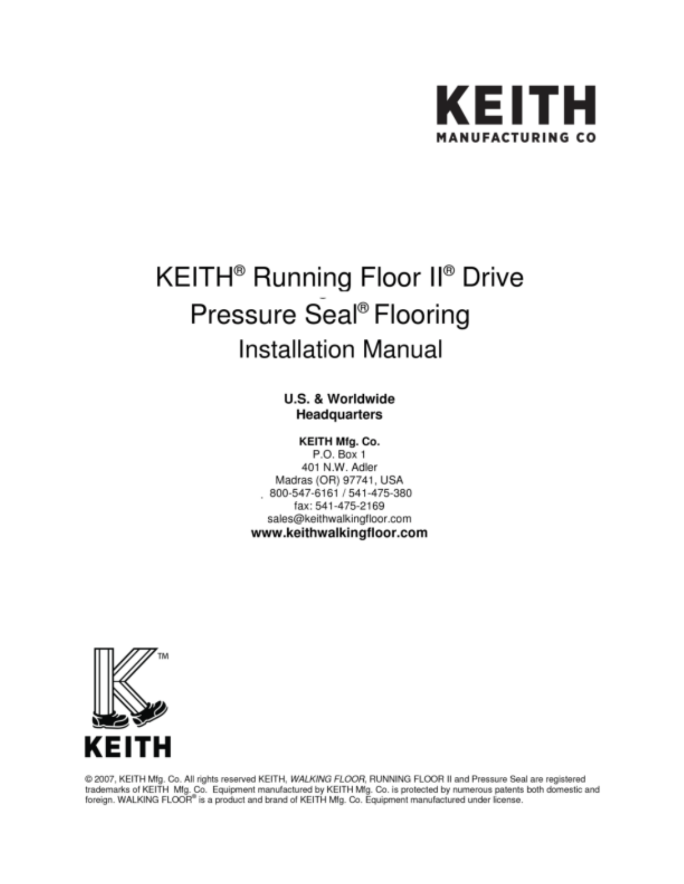

# KEITH<sup>®</sup> Running Floor II<sup>®</sup> Drive Pressure Seal<sup>®</sup> Flooring **Installation Manual**

### U.S. & Worldwide Headquarters

#### KEITH Mfg. Co.

P.O. Box 1 401 N.W. Adler Madras (OR) 97741, USA 800-547-6161 / 541-475-380 fax: 541-475-2169 sales@keithwalkingfloor.com www.keithwalkingfloor.com



@ 2007, KEITH Mfg. Co. All rights reserved KEITH, WALKING FLOOR, RUNNING FLOOR II and Pressure Seal are registered trademarks of KEITH Mfg. Co. Equipment manufactured by KEITH Mfg. Co. is protected by numerous patents both domestic and foreign. WALKING FLOOR® is a product and brand of KEITH Mfg. Co. Equipment manufactured under license.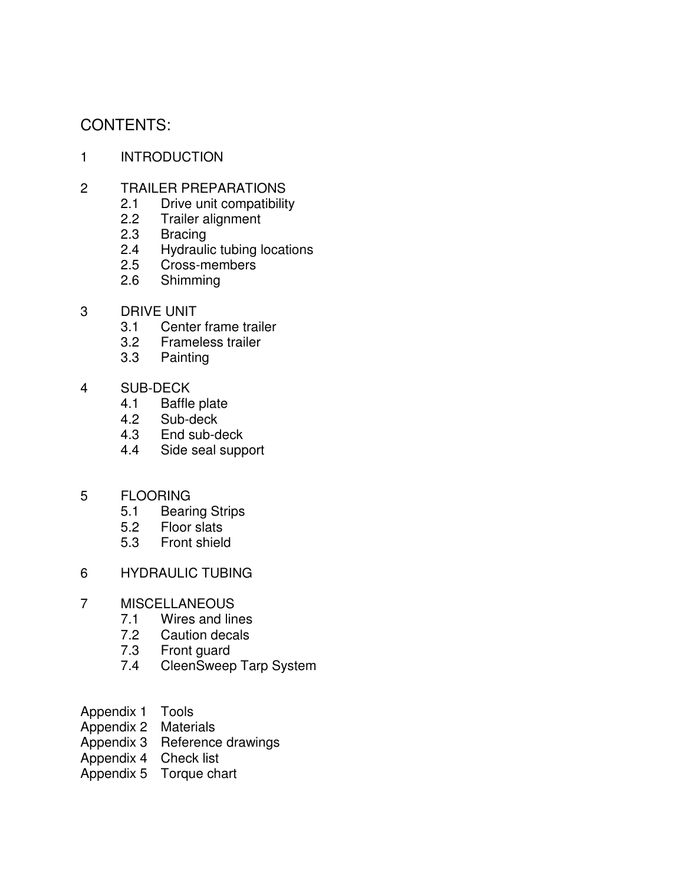# CONTENTS:

- 1 INTRODUCTION
- 2 TRAILER PREPARATIONS
	- 2.1 Drive unit compatibility
	- 2.2 Trailer alignment
	- 2.3 Bracing
	- 2.4 Hydraulic tubing locations<br>2.5 Cross-members
	- Cross-members
	- 2.6 Shimming
- 3 DRIVE UNIT
	- 3.1 Center frame trailer<br>3.2 Frameless trailer
	- 3.2 Frameless trailer
	- 3.3 Painting
- 4 SUB-DECK
	- 4.1 Baffle plate<br>4.2 Sub-deck
	- Sub-deck
	- 4.3 End sub-deck
	- 4.4 Side seal support
- 5 FLOORING
	- 5.1 Bearing Strips
	- 5.2 Floor slats<br>5.3 Front shield
	- Front shield
- 6 HYDRAULIC TUBING
- 7 MISCELLANEOUS
	- 7.1 Wires and lines
	- 7.2 Caution decals
	- 7.3 Front guard
	- 7.4 CleenSweep Tarp System
- Appendix 1 Tools
- Appendix 2 Materials
- Appendix 3 Reference drawings
- Appendix 4 Check list
- Appendix 5 Torque chart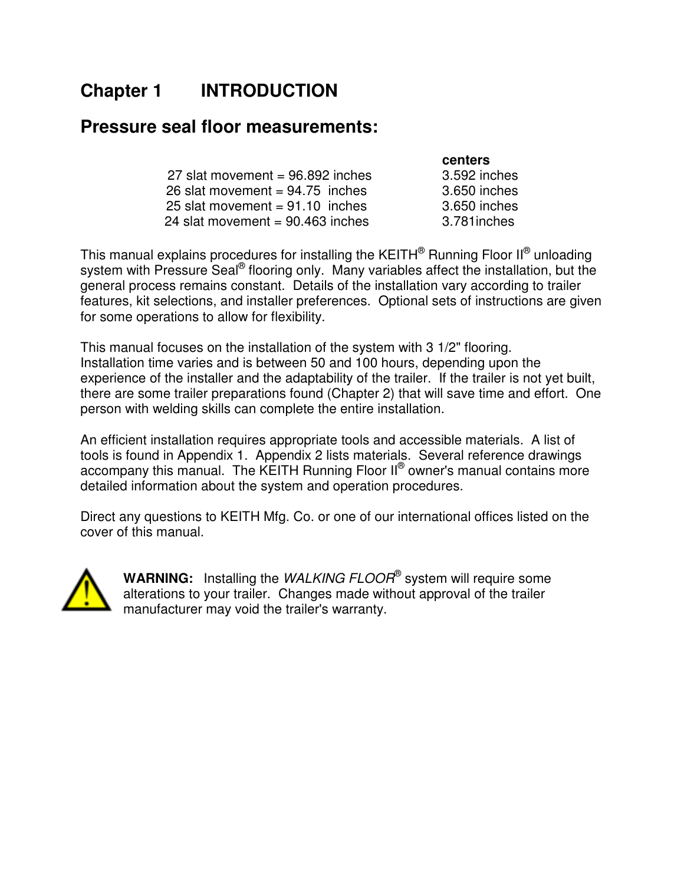# **Chapter 1 INTRODUCTION**

### **Pressure seal floor measurements:**

|                                    | <b>centers</b> |
|------------------------------------|----------------|
| 27 slat movement = $96.892$ inches | 3.592 ind      |
| 26 slat movement = $94.75$ inches  | 3.650 ind      |
| 25 slat movement = $91.10$ inches  | 3.650 inc      |
| 24 slat movement = $90.463$ inches | 3.781 inc      |

3.592 inches  $3.650$  inches  $3.650$  inches 3.781 inches

This manual explains procedures for installing the KEITH® Running Floor II® unloading system with Pressure Seal® flooring only. Many variables affect the installation, but the general process remains constant. Details of the installation vary according to trailer features, kit selections, and installer preferences. Optional sets of instructions are given for some operations to allow for flexibility.

This manual focuses on the installation of the system with 3 1/2" flooring. Installation time varies and is between 50 and 100 hours, depending upon the experience of the installer and the adaptability of the trailer. If the trailer is not yet built, there are some trailer preparations found (Chapter 2) that will save time and effort. One person with welding skills can complete the entire installation.

An efficient installation requires appropriate tools and accessible materials. A list of tools is found in Appendix 1. Appendix 2 lists materials. Several reference drawings accompany this manual. The KEITH Running Floor II® owner's manual contains more detailed information about the system and operation procedures.

Direct any questions to KEITH Mfg. Co. or one of our international offices listed on the cover of this manual.



WARNING: Installing the *WALKING FLOOR*<sup>®</sup> system will require some alterations to your trailer. Changes made without approval of the trailer manufacturer may void the trailer's warranty.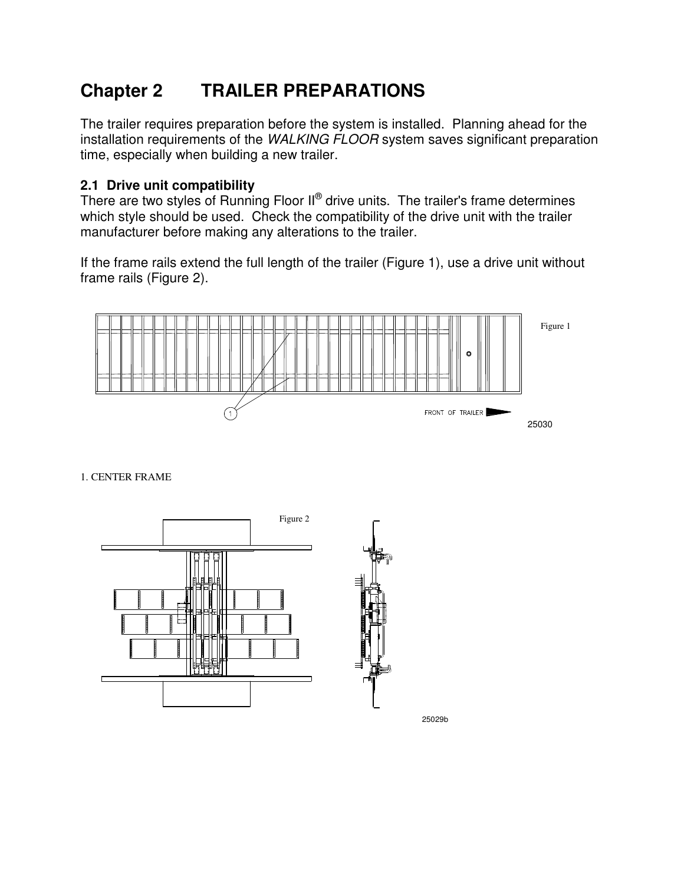# **Chapter 2 TRAILER PREPARATIONS**

The trailer requires preparation before the system is installed. Planning ahead for the installation requirements of the WALKING FLOOR system saves significant preparation time, especially when building a new trailer.

### **2.1 Drive unit compatibility**

There are two styles of Running Floor  $II^\circledast$  drive units. The trailer's frame determines which style should be used. Check the compatibility of the drive unit with the trailer manufacturer before making any alterations to the trailer.

If the frame rails extend the full length of the trailer (Figure 1), use a drive unit without frame rails (Figure 2).



1. CENTER FRAME



25029b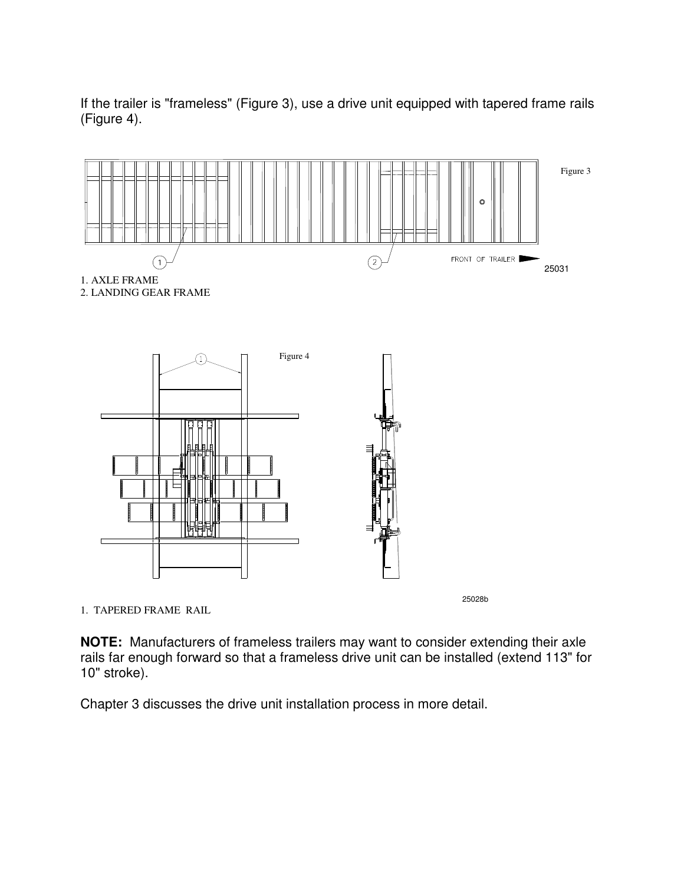If the trailer is "frameless" (Figure 3), use a drive unit equipped with tapered frame rails (Figure 4).





1. TAPERED FRAME RAIL

25028b

**NOTE:** Manufacturers of frameless trailers may want to consider extending their axle rails far enough forward so that a frameless drive unit can be installed (extend 113" for 10" stroke).

Chapter 3 discusses the drive unit installation process in more detail.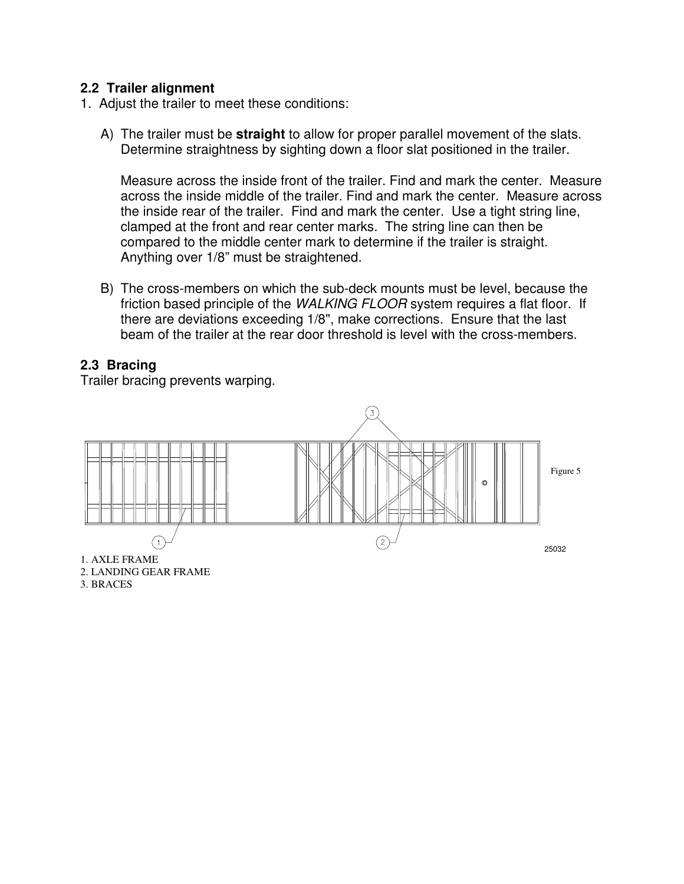### **2.2 Trailer alignment**

- 1. Adjust the trailer to meet these conditions:
	- A) The trailer must be **straight** to allow for proper parallel movement of the slats. Determine straightness by sighting down a floor slat positioned in the trailer.

 Measure across the inside front of the trailer. Find and mark the center. Measure across the inside middle of the trailer. Find and mark the center. Measure across the inside rear of the trailer. Find and mark the center. Use a tight string line, clamped at the front and rear center marks. The string line can then be compared to the middle center mark to determine if the trailer is straight. Anything over 1/8" must be straightened.

B) The cross-members on which the sub-deck mounts must be level, because the friction based principle of the WALKING FLOOR system requires a flat floor. If there are deviations exceeding 1/8", make corrections. Ensure that the last beam of the trailer at the rear door threshold is level with the cross-members.

### **2.3 Bracing**

Trailer bracing prevents warping.



3. BRACES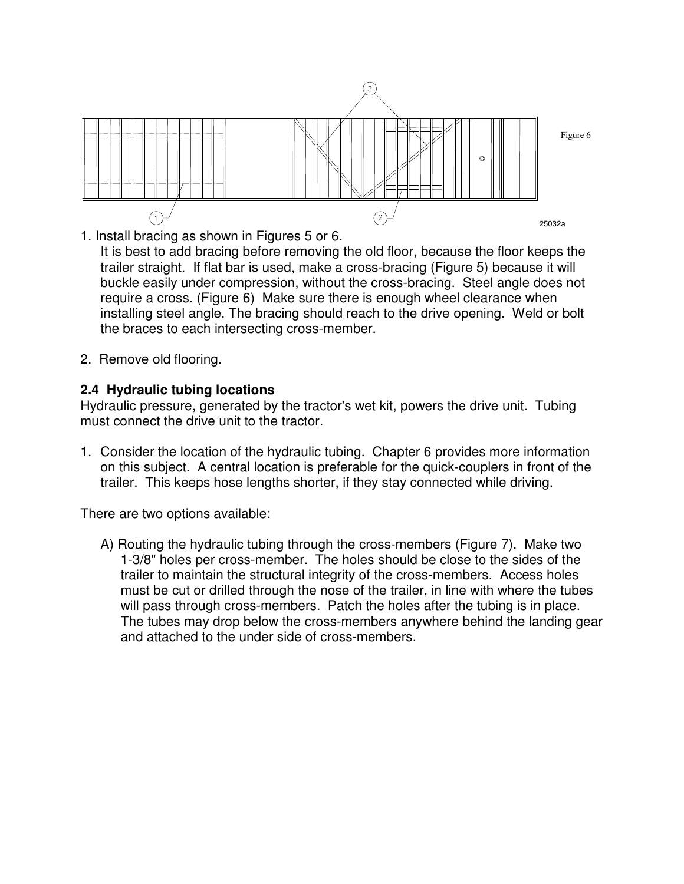

1. Install bracing as shown in Figures 5 or 6.

It is best to add bracing before removing the old floor, because the floor keeps the trailer straight. If flat bar is used, make a cross-bracing (Figure 5) because it will buckle easily under compression, without the cross-bracing. Steel angle does not require a cross. (Figure 6) Make sure there is enough wheel clearance when installing steel angle. The bracing should reach to the drive opening. Weld or bolt the braces to each intersecting cross-member.

2. Remove old flooring.

### **2.4 Hydraulic tubing locations**

Hydraulic pressure, generated by the tractor's wet kit, powers the drive unit. Tubing must connect the drive unit to the tractor.

1. Consider the location of the hydraulic tubing. Chapter 6 provides more information on this subject. A central location is preferable for the quick-couplers in front of the trailer. This keeps hose lengths shorter, if they stay connected while driving.

There are two options available:

A) Routing the hydraulic tubing through the cross-members (Figure 7). Make two 1-3/8" holes per cross-member. The holes should be close to the sides of the trailer to maintain the structural integrity of the cross-members. Access holes must be cut or drilled through the nose of the trailer, in line with where the tubes will pass through cross-members. Patch the holes after the tubing is in place. The tubes may drop below the cross-members anywhere behind the landing gear and attached to the under side of cross-members.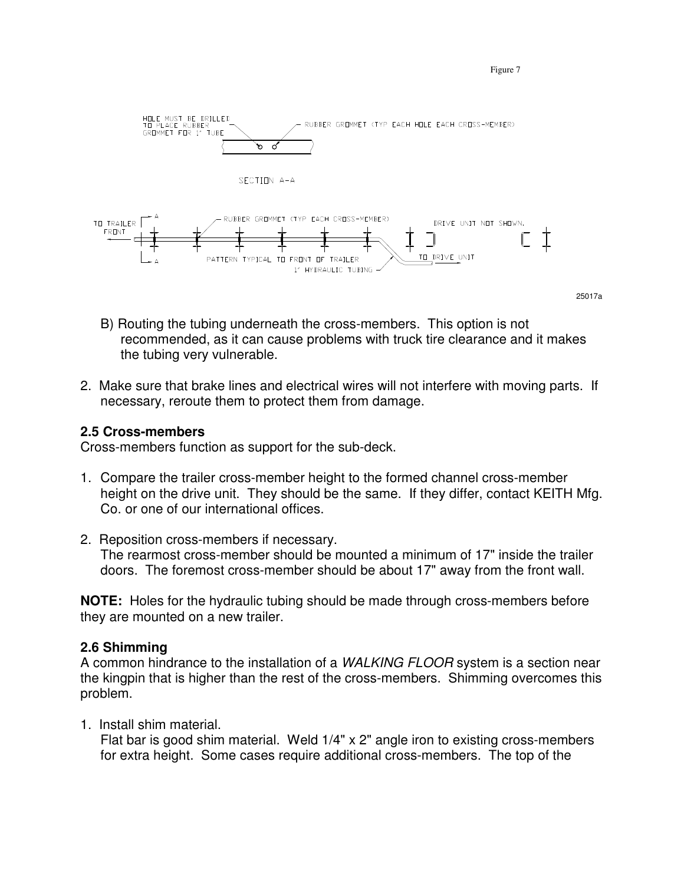

Figure 7

- B) Routing the tubing underneath the cross-members. This option is not recommended, as it can cause problems with truck tire clearance and it makes the tubing very vulnerable.
- 2. Make sure that brake lines and electrical wires will not interfere with moving parts. If necessary, reroute them to protect them from damage.

### **2.5 Cross-members**

Cross-members function as support for the sub-deck.

- 1. Compare the trailer cross-member height to the formed channel cross-member height on the drive unit. They should be the same. If they differ, contact KEITH Mfg. Co. or one of our international offices.
- 2. Reposition cross-members if necessary. The rearmost cross-member should be mounted a minimum of 17" inside the trailer doors. The foremost cross-member should be about 17" away from the front wall.

**NOTE:** Holes for the hydraulic tubing should be made through cross-members before they are mounted on a new trailer.

### **2.6 Shimming**

A common hindrance to the installation of a WALKING FLOOR system is a section near the kingpin that is higher than the rest of the cross-members. Shimming overcomes this problem.

1. Install shim material.

Flat bar is good shim material. Weld 1/4" x 2" angle iron to existing cross-members for extra height. Some cases require additional cross-members. The top of the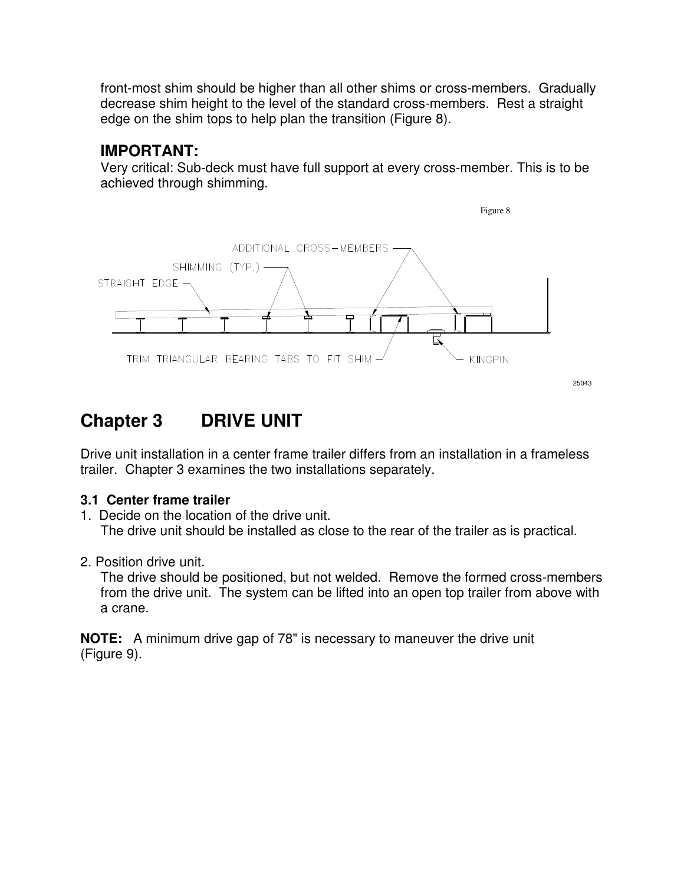front-most shim should be higher than all other shims or cross-members. Gradually decrease shim height to the level of the standard cross-members. Rest a straight edge on the shim tops to help plan the transition (Figure 8).

### **IMPORTANT:**

Very critical: Sub-deck must have full support at every cross-member. This is to be achieved through shimming.



# **Chapter 3 DRIVE UNIT**

Drive unit installation in a center frame trailer differs from an installation in a frameless trailer. Chapter 3 examines the two installations separately.

### **3.1 Center frame trailer**

- 1. Decide on the location of the drive unit. The drive unit should be installed as close to the rear of the trailer as is practical.
- 2. Position drive unit.

The drive should be positioned, but not welded. Remove the formed cross-members from the drive unit. The system can be lifted into an open top trailer from above with a crane.

**NOTE:** A minimum drive gap of 78" is necessary to maneuver the drive unit (Figure 9).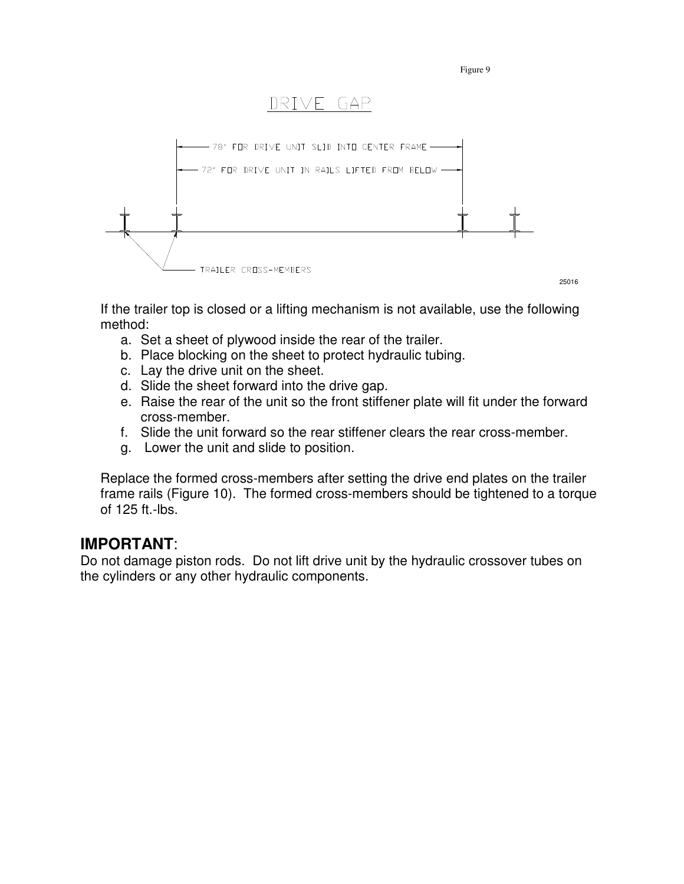Figure 9

# DRIVE GAP



If the trailer top is closed or a lifting mechanism is not available, use the following method:

- a. Set a sheet of plywood inside the rear of the trailer.
- b. Place blocking on the sheet to protect hydraulic tubing.
- c. Lay the drive unit on the sheet.
- d. Slide the sheet forward into the drive gap.
- e. Raise the rear of the unit so the front stiffener plate will fit under the forward cross-member.
- f. Slide the unit forward so the rear stiffener clears the rear cross-member.
- g. Lower the unit and slide to position.

Replace the formed cross-members after setting the drive end plates on the trailer frame rails (Figure 10). The formed cross-members should be tightened to a torque of 125 ft.-lbs.

### **IMPORTANT**:

Do not damage piston rods. Do not lift drive unit by the hydraulic crossover tubes on the cylinders or any other hydraulic components.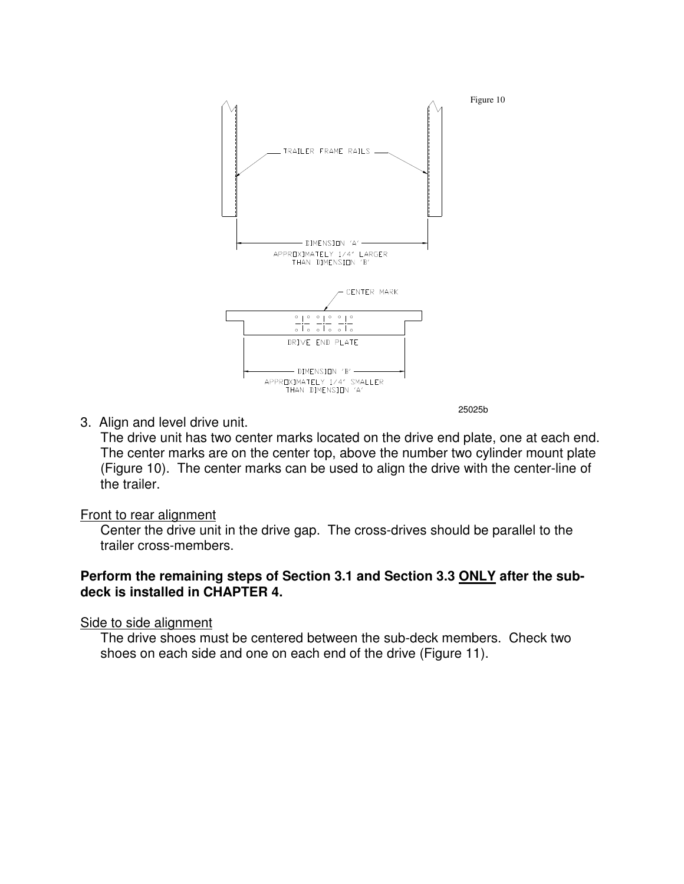

3. Align and level drive unit.

The drive unit has two center marks located on the drive end plate, one at each end. The center marks are on the center top, above the number two cylinder mount plate (Figure 10). The center marks can be used to align the drive with the center-line of the trailer.

Front to rear alignment

Center the drive unit in the drive gap. The cross-drives should be parallel to the trailer cross-members.

### **Perform the remaining steps of Section 3.1 and Section 3.3 ONLY after the subdeck is installed in CHAPTER 4.**

Side to side alignment

The drive shoes must be centered between the sub-deck members. Check two shoes on each side and one on each end of the drive (Figure 11).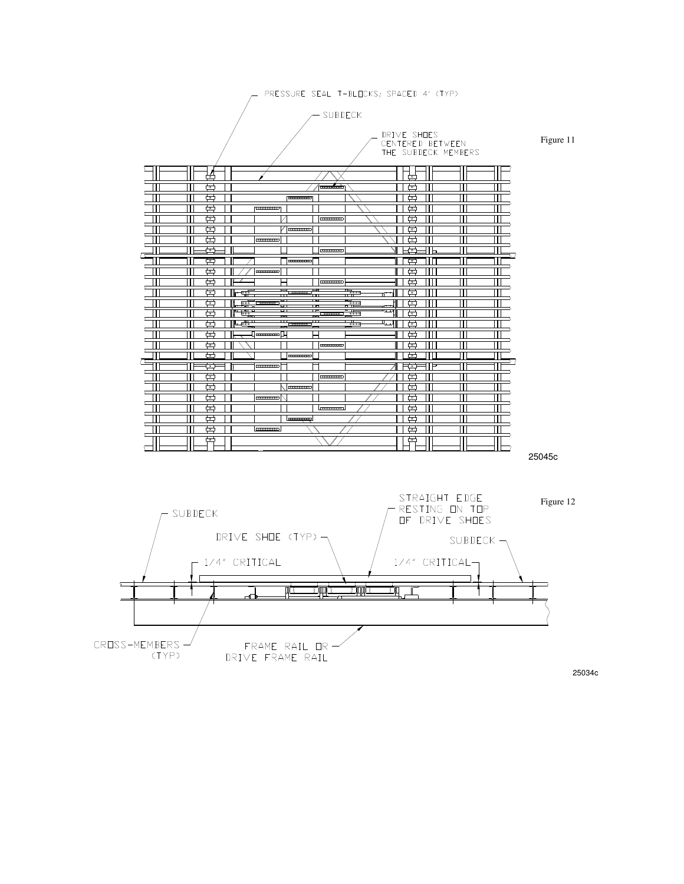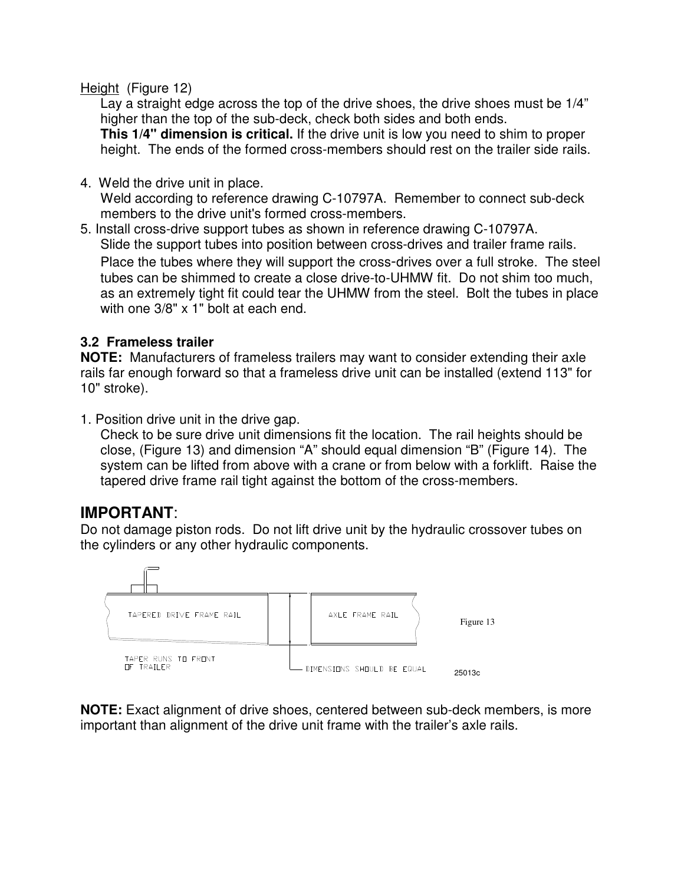### Height (Figure 12)

Lay a straight edge across the top of the drive shoes, the drive shoes must be 1/4" higher than the top of the sub-deck, check both sides and both ends.

**This 1/4" dimension is critical.** If the drive unit is low you need to shim to proper height. The ends of the formed cross-members should rest on the trailer side rails.

4. Weld the drive unit in place.

Weld according to reference drawing C-10797A. Remember to connect sub-deck members to the drive unit's formed cross-members.

5. Install cross-drive support tubes as shown in reference drawing C-10797A. Slide the support tubes into position between cross-drives and trailer frame rails. Place the tubes where they will support the cross-drives over a full stroke. The steel tubes can be shimmed to create a close drive-to-UHMW fit. Do not shim too much, as an extremely tight fit could tear the UHMW from the steel. Bolt the tubes in place with one 3/8" x 1" bolt at each end.

### **3.2 Frameless trailer**

**NOTE:** Manufacturers of frameless trailers may want to consider extending their axle rails far enough forward so that a frameless drive unit can be installed (extend 113" for 10" stroke).

1. Position drive unit in the drive gap.

Check to be sure drive unit dimensions fit the location. The rail heights should be close, (Figure 13) and dimension "A" should equal dimension "B" (Figure 14). The system can be lifted from above with a crane or from below with a forklift. Raise the tapered drive frame rail tight against the bottom of the cross-members.

### **IMPORTANT**:

Do not damage piston rods. Do not lift drive unit by the hydraulic crossover tubes on the cylinders or any other hydraulic components.



**NOTE:** Exact alignment of drive shoes, centered between sub-deck members, is more important than alignment of the drive unit frame with the trailer's axle rails.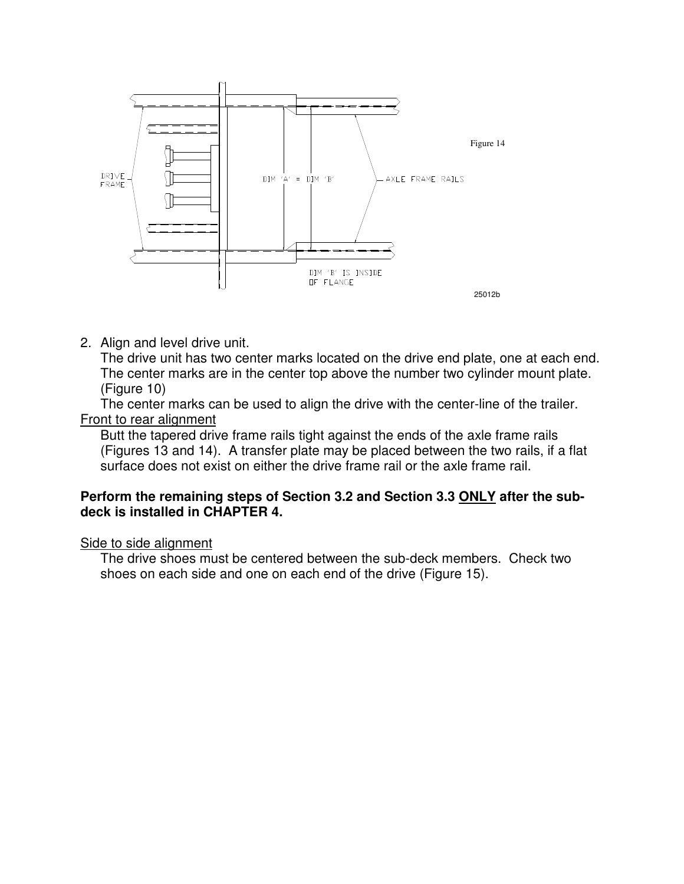

2. Align and level drive unit.

The drive unit has two center marks located on the drive end plate, one at each end. The center marks are in the center top above the number two cylinder mount plate. (Figure 10)

The center marks can be used to align the drive with the center-line of the trailer. Front to rear alignment

Butt the tapered drive frame rails tight against the ends of the axle frame rails (Figures 13 and 14). A transfer plate may be placed between the two rails, if a flat surface does not exist on either the drive frame rail or the axle frame rail.

#### **Perform the remaining steps of Section 3.2 and Section 3.3 ONLY after the subdeck is installed in CHAPTER 4.**

#### Side to side alignment

The drive shoes must be centered between the sub-deck members. Check two shoes on each side and one on each end of the drive (Figure 15).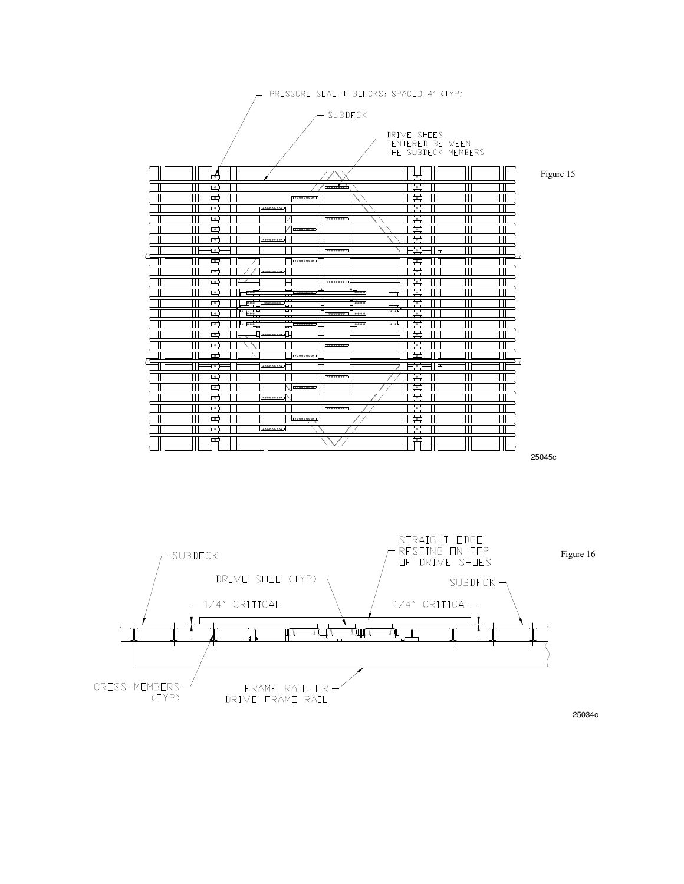



25034c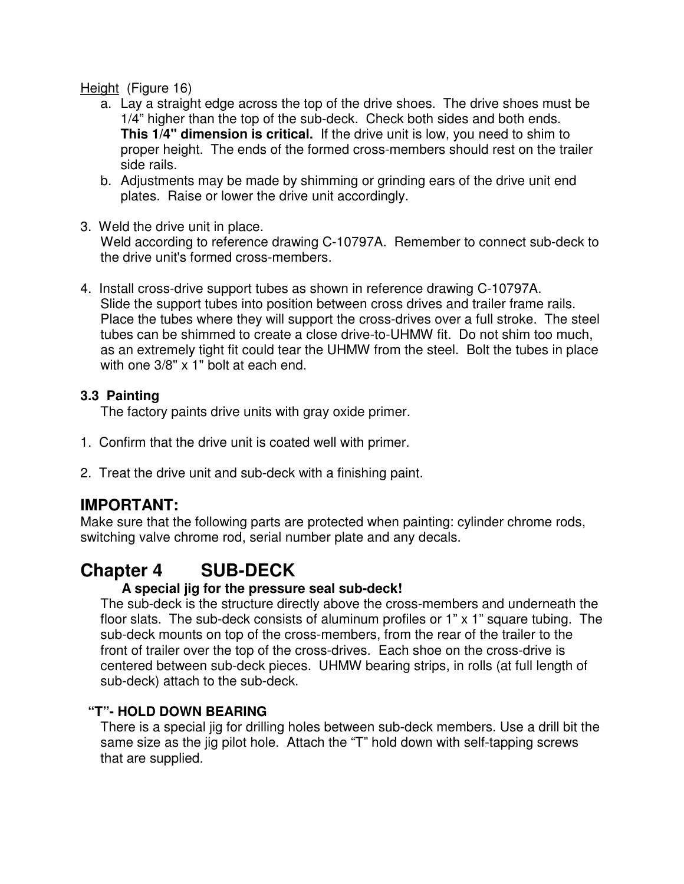Height (Figure 16)

- a. Lay a straight edge across the top of the drive shoes. The drive shoes must be 1/4" higher than the top of the sub-deck. Check both sides and both ends. **This 1/4" dimension is critical.** If the drive unit is low, you need to shim to proper height. The ends of the formed cross-members should rest on the trailer side rails.
- b. Adjustments may be made by shimming or grinding ears of the drive unit end plates. Raise or lower the drive unit accordingly.
- 3. Weld the drive unit in place.

Weld according to reference drawing C-10797A. Remember to connect sub-deck to the drive unit's formed cross-members.

4. Install cross-drive support tubes as shown in reference drawing C-10797A. Slide the support tubes into position between cross drives and trailer frame rails. Place the tubes where they will support the cross-drives over a full stroke. The steel tubes can be shimmed to create a close drive-to-UHMW fit. Do not shim too much, as an extremely tight fit could tear the UHMW from the steel. Bolt the tubes in place with one 3/8" x 1" bolt at each end.

### **3.3 Painting**

The factory paints drive units with gray oxide primer.

- 1. Confirm that the drive unit is coated well with primer.
- 2. Treat the drive unit and sub-deck with a finishing paint.

### **IMPORTANT:**

Make sure that the following parts are protected when painting: cylinder chrome rods, switching valve chrome rod, serial number plate and any decals.

# **Chapter 4 SUB-DECK**

### **A special jig for the pressure seal sub-deck!**

The sub-deck is the structure directly above the cross-members and underneath the floor slats. The sub-deck consists of aluminum profiles or 1" x 1" square tubing. The sub-deck mounts on top of the cross-members, from the rear of the trailer to the front of trailer over the top of the cross-drives. Each shoe on the cross-drive is centered between sub-deck pieces. UHMW bearing strips, in rolls (at full length of sub-deck) attach to the sub-deck.

### **"T"- HOLD DOWN BEARING**

There is a special jig for drilling holes between sub-deck members. Use a drill bit the same size as the jig pilot hole. Attach the "T" hold down with self-tapping screws that are supplied.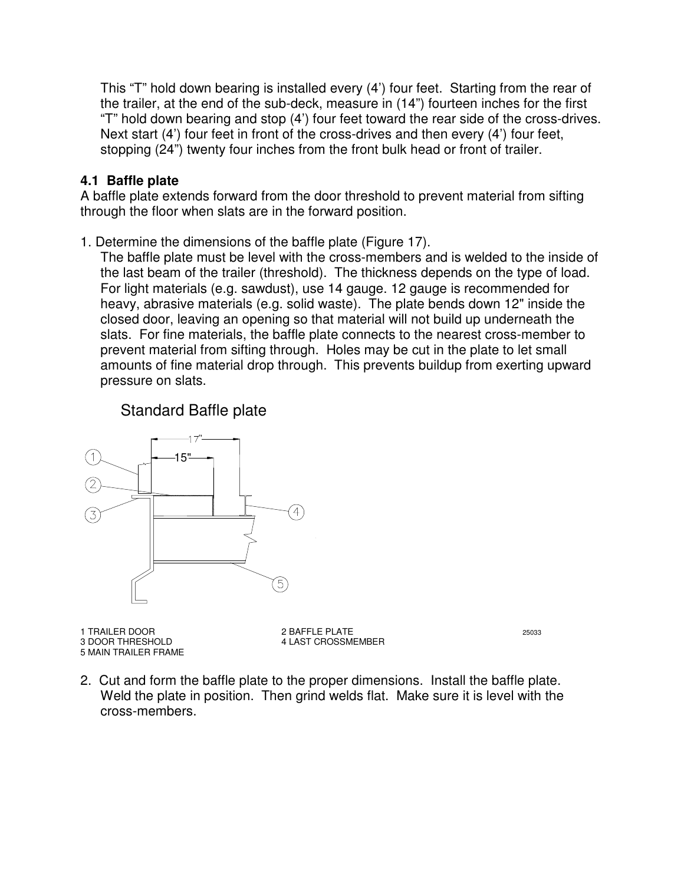This "T" hold down bearing is installed every (4') four feet. Starting from the rear of the trailer, at the end of the sub-deck, measure in (14") fourteen inches for the first "T" hold down bearing and stop (4') four feet toward the rear side of the cross-drives. Next start (4') four feet in front of the cross-drives and then every (4') four feet, stopping (24") twenty four inches from the front bulk head or front of trailer.

### **4.1 Baffle plate**

A baffle plate extends forward from the door threshold to prevent material from sifting through the floor when slats are in the forward position.

1. Determine the dimensions of the baffle plate (Figure 17).

The baffle plate must be level with the cross-members and is welded to the inside of the last beam of the trailer (threshold). The thickness depends on the type of load. For light materials (e.g. sawdust), use 14 gauge. 12 gauge is recommended for heavy, abrasive materials (e.g. solid waste). The plate bends down 12" inside the closed door, leaving an opening so that material will not build up underneath the slats. For fine materials, the baffle plate connects to the nearest cross-member to prevent material from sifting through. Holes may be cut in the plate to let small amounts of fine material drop through. This prevents buildup from exerting upward pressure on slats.

### Standard Baffle plate



1 TRAILER DOOR 25033 5 MAIN TRAILER FRAME

3 DOOR THRESHOLD 4 LAST CROSSMEMBER

2. Cut and form the baffle plate to the proper dimensions. Install the baffle plate. Weld the plate in position. Then grind welds flat. Make sure it is level with the cross-members.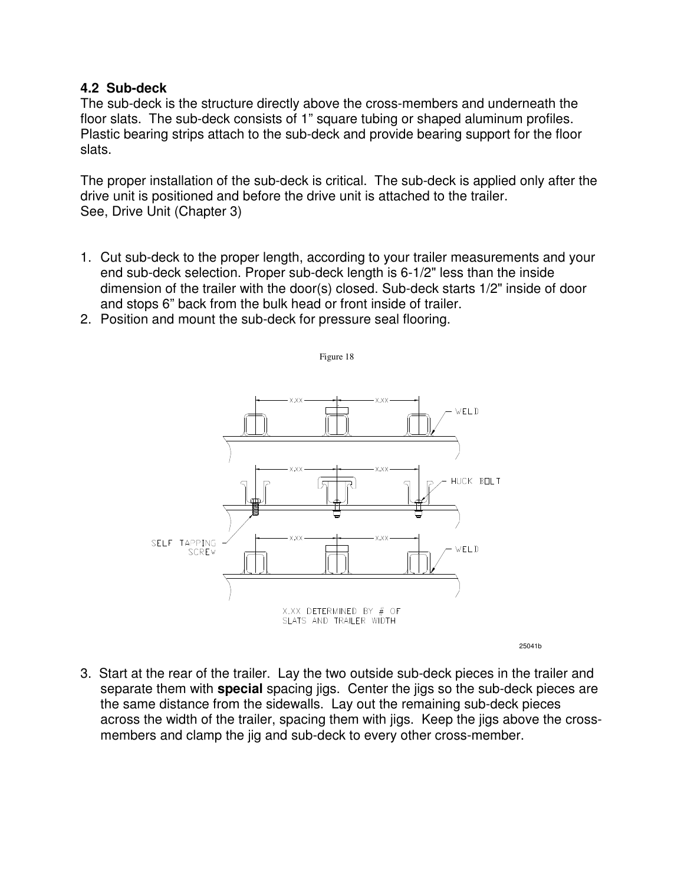#### **4.2 Sub-deck**

The sub-deck is the structure directly above the cross-members and underneath the floor slats. The sub-deck consists of 1" square tubing or shaped aluminum profiles. Plastic bearing strips attach to the sub-deck and provide bearing support for the floor slats.

The proper installation of the sub-deck is critical. The sub-deck is applied only after the drive unit is positioned and before the drive unit is attached to the trailer. See, Drive Unit (Chapter 3)

1. Cut sub-deck to the proper length, according to your trailer measurements and your end sub-deck selection. Proper sub-deck length is 6-1/2" less than the inside dimension of the trailer with the door(s) closed. Sub-deck starts 1/2" inside of door and stops 6" back from the bulk head or front inside of trailer.

Figure 18

2. Position and mount the sub-deck for pressure seal flooring.



3. Start at the rear of the trailer. Lay the two outside sub-deck pieces in the trailer and separate them with **special** spacing jigs. Center the jigs so the sub-deck pieces are the same distance from the sidewalls. Lay out the remaining sub-deck pieces across the width of the trailer, spacing them with jigs. Keep the jigs above the crossmembers and clamp the jig and sub-deck to every other cross-member.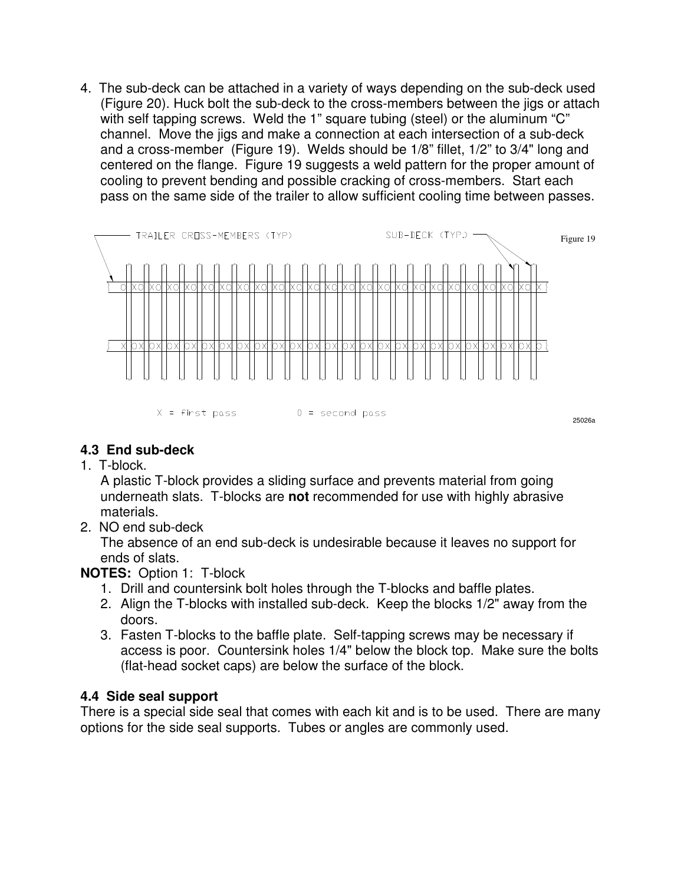4. The sub-deck can be attached in a variety of ways depending on the sub-deck used (Figure 20). Huck bolt the sub-deck to the cross-members between the jigs or attach with self tapping screws. Weld the 1" square tubing (steel) or the aluminum "C" channel. Move the jigs and make a connection at each intersection of a sub-deck and a cross-member (Figure 19). Welds should be 1/8" fillet, 1/2" to 3/4" long and centered on the flange. Figure 19 suggests a weld pattern for the proper amount of cooling to prevent bending and possible cracking of cross-members. Start each pass on the same side of the trailer to allow sufficient cooling time between passes.



### **4.3 End sub-deck**

1. T-block.

A plastic T-block provides a sliding surface and prevents material from going underneath slats. T-blocks are **not** recommended for use with highly abrasive materials.

2. NO end sub-deck

The absence of an end sub-deck is undesirable because it leaves no support for ends of slats.

### **NOTES:** Option 1: T-block

- 1. Drill and countersink bolt holes through the T-blocks and baffle plates.
- 2. Align the T-blocks with installed sub-deck. Keep the blocks 1/2" away from the doors.
- 3. Fasten T-blocks to the baffle plate. Self-tapping screws may be necessary if access is poor. Countersink holes 1/4" below the block top. Make sure the bolts (flat-head socket caps) are below the surface of the block.

### **4.4 Side seal support**

There is a special side seal that comes with each kit and is to be used. There are many options for the side seal supports. Tubes or angles are commonly used.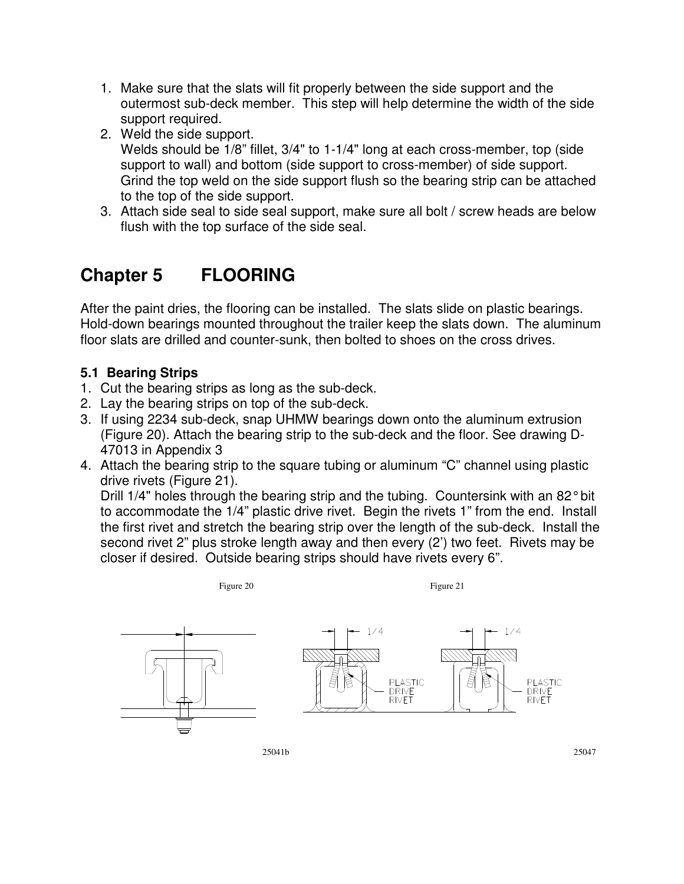- 1. Make sure that the slats will fit properly between the side support and the outermost sub-deck member. This step will help determine the width of the side support required.
- 2. Weld the side support.

Welds should be 1/8" fillet, 3/4" to 1-1/4" long at each cross-member, top (side support to wall) and bottom (side support to cross-member) of side support. Grind the top weld on the side support flush so the bearing strip can be attached to the top of the side support.

3. Attach side seal to side seal support, make sure all bolt / screw heads are below flush with the top surface of the side seal.

# **Chapter 5 FLOORING**

After the paint dries, the flooring can be installed. The slats slide on plastic bearings. Hold-down bearings mounted throughout the trailer keep the slats down. The aluminum floor slats are drilled and counter-sunk, then bolted to shoes on the cross drives.

### **5.1 Bearing Strips**

- 1. Cut the bearing strips as long as the sub-deck.
- 2. Lay the bearing strips on top of the sub-deck.
- 3. If using 2234 sub-deck, snap UHMW bearings down onto the aluminum extrusion (Figure 20). Attach the bearing strip to the sub-deck and the floor. See drawing D-47013 in Appendix 3
- 4. Attach the bearing strip to the square tubing or aluminum "C" channel using plastic drive rivets (Figure 21).

Drill 1/4" holes through the bearing strip and the tubing. Countersink with an 82° bit to accommodate the 1/4" plastic drive rivet. Begin the rivets 1" from the end. Install the first rivet and stretch the bearing strip over the length of the sub-deck. Install the second rivet 2" plus stroke length away and then every (2') two feet. Rivets may be closer if desired. Outside bearing strips should have rivets every 6".



Figure 20 Figure 21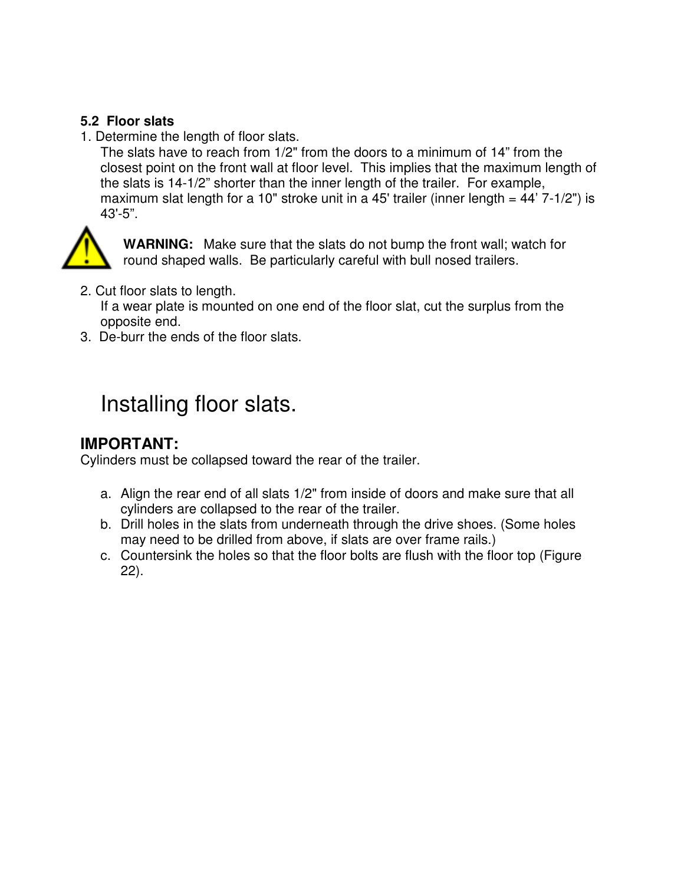### **5.2 Floor slats**

1. Determine the length of floor slats.

The slats have to reach from 1/2" from the doors to a minimum of 14" from the closest point on the front wall at floor level. This implies that the maximum length of the slats is 14-1/2" shorter than the inner length of the trailer. For example, maximum slat length for a 10" stroke unit in a 45' trailer (inner length  $= 44'$  7-1/2") is 43'-5".



**WARNING:** Make sure that the slats do not bump the front wall; watch for round shaped walls. Be particularly careful with bull nosed trailers.

2. Cut floor slats to length.

If a wear plate is mounted on one end of the floor slat, cut the surplus from the opposite end.

3. De-burr the ends of the floor slats.

# Installing floor slats.

### **IMPORTANT:**

Cylinders must be collapsed toward the rear of the trailer.

- a. Align the rear end of all slats 1/2" from inside of doors and make sure that all cylinders are collapsed to the rear of the trailer.
- b. Drill holes in the slats from underneath through the drive shoes. (Some holes may need to be drilled from above, if slats are over frame rails.)
- c. Countersink the holes so that the floor bolts are flush with the floor top (Figure 22).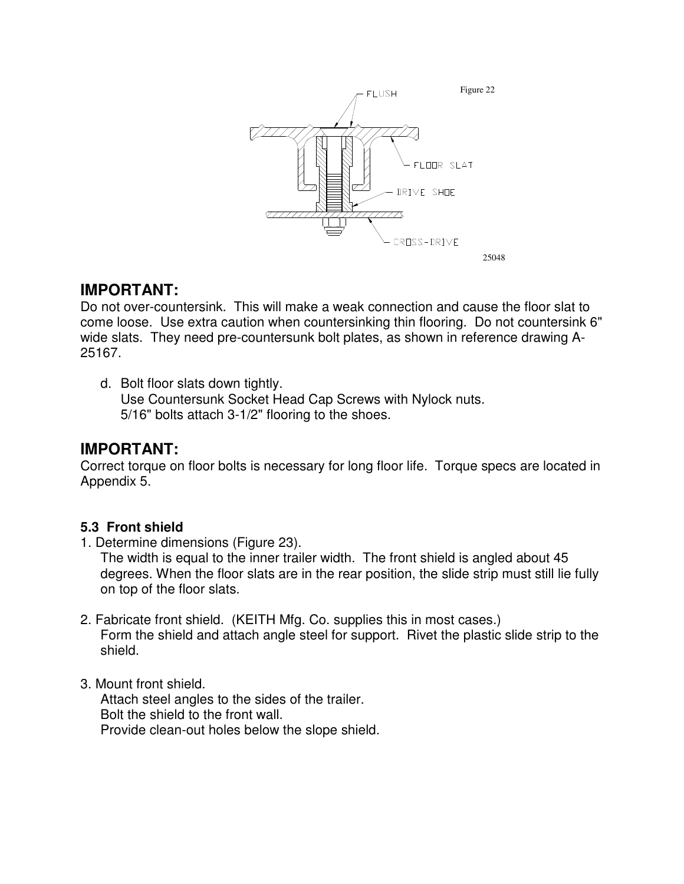

### **IMPORTANT:**

Do not over-countersink. This will make a weak connection and cause the floor slat to come loose. Use extra caution when countersinking thin flooring. Do not countersink 6" wide slats. They need pre-countersunk bolt plates, as shown in reference drawing A-25167.

d. Bolt floor slats down tightly. Use Countersunk Socket Head Cap Screws with Nylock nuts. 5/16" bolts attach 3-1/2" flooring to the shoes.

### **IMPORTANT:**

Correct torque on floor bolts is necessary for long floor life. Torque specs are located in Appendix 5.

### **5.3 Front shield**

1. Determine dimensions (Figure 23).

The width is equal to the inner trailer width. The front shield is angled about 45 degrees. When the floor slats are in the rear position, the slide strip must still lie fully on top of the floor slats.

- 2. Fabricate front shield. (KEITH Mfg. Co. supplies this in most cases.) Form the shield and attach angle steel for support. Rivet the plastic slide strip to the shield.
- 3. Mount front shield.

Attach steel angles to the sides of the trailer. Bolt the shield to the front wall. Provide clean-out holes below the slope shield.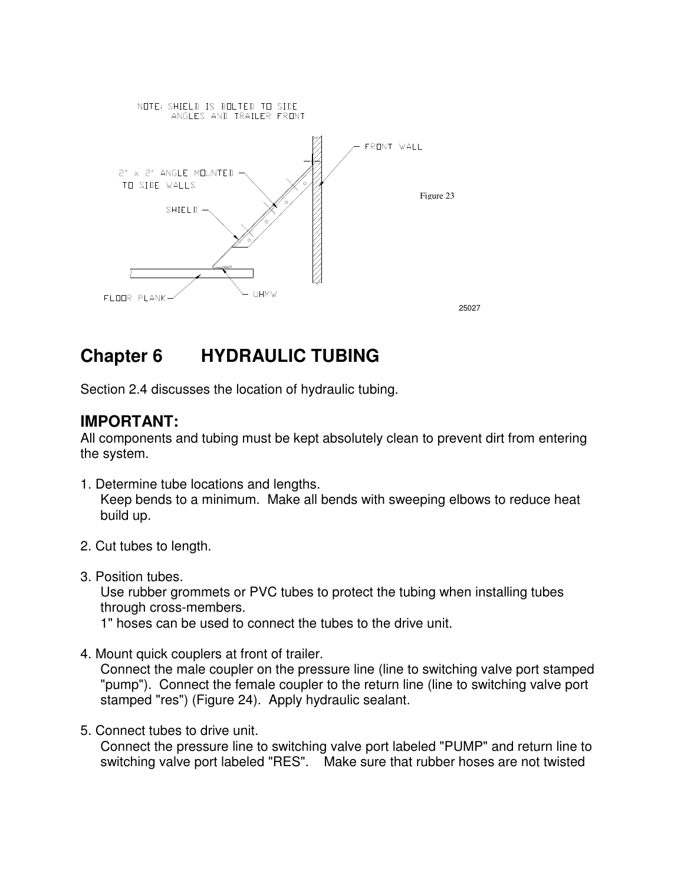

<sup>25027</sup>

# **Chapter 6 HYDRAULIC TUBING**

Section 2.4 discusses the location of hydraulic tubing.

### **IMPORTANT:**

All components and tubing must be kept absolutely clean to prevent dirt from entering the system.

- 1. Determine tube locations and lengths. Keep bends to a minimum. Make all bends with sweeping elbows to reduce heat build up.
- 2. Cut tubes to length.
- 3. Position tubes.

Use rubber grommets or PVC tubes to protect the tubing when installing tubes through cross-members.

1" hoses can be used to connect the tubes to the drive unit.

4. Mount quick couplers at front of trailer.

Connect the male coupler on the pressure line (line to switching valve port stamped "pump"). Connect the female coupler to the return line (line to switching valve port stamped "res") (Figure 24). Apply hydraulic sealant.

5. Connect tubes to drive unit.

Connect the pressure line to switching valve port labeled "PUMP" and return line to switching valve port labeled "RES". Make sure that rubber hoses are not twisted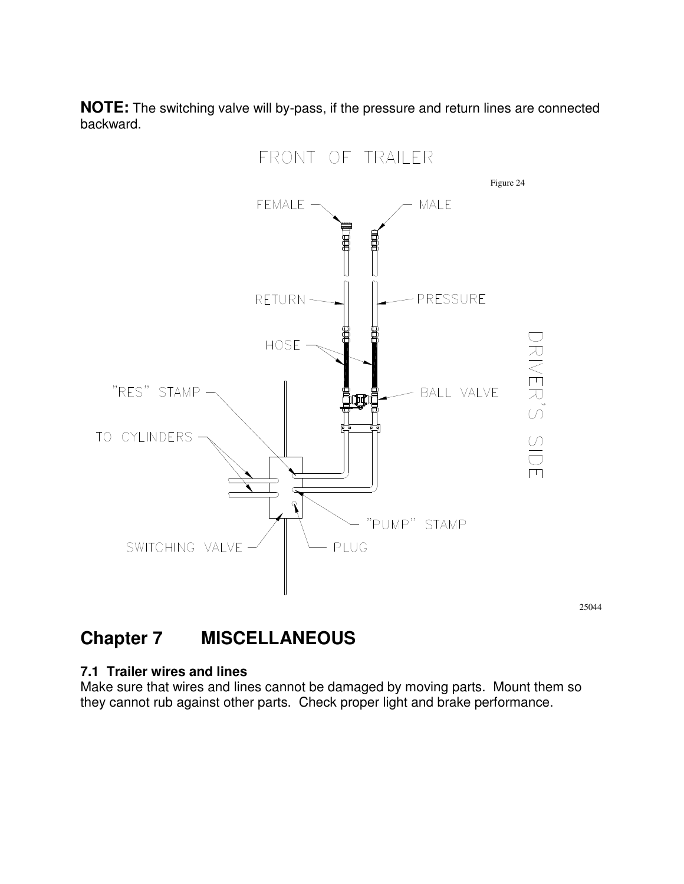**NOTE:** The switching valve will by-pass, if the pressure and return lines are connected backward.



<sup>25044</sup>

# **Chapter 7 MISCELLANEOUS**

### **7.1 Trailer wires and lines**

Make sure that wires and lines cannot be damaged by moving parts. Mount them so they cannot rub against other parts. Check proper light and brake performance.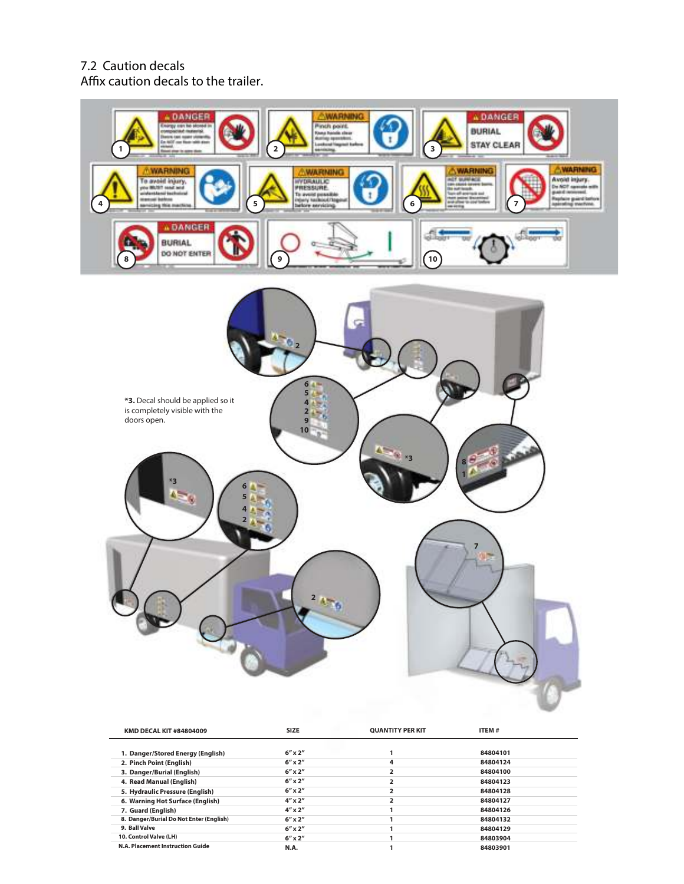

| <b>KMD DECAL KIT #84804009</b>          | SIZE             | <b>QUANTITY PER KIT</b> | 11 EM #  |  |
|-----------------------------------------|------------------|-------------------------|----------|--|
| 1. Danger/Stored Energy (English)       | $6''$ x $2''$    |                         | 84804101 |  |
| 2. Pinch Point (English)                | $6''$ x $2''$    | 4                       | 84804124 |  |
| 3. Danger/Burial (English)              | $6''$ x $2''$    |                         | 84804100 |  |
| 4. Read Manual (English)                | $6''$ x $2''$    |                         | 84804123 |  |
| 5. Hydraulic Pressure (English)         | $6''$ x $2''$    |                         | 84804128 |  |
| 6. Warning Hot Surface (English)        | $4'' \times 2''$ |                         | 84804127 |  |
| 7. Guard (English)                      | $4'' \times 2''$ |                         | 84804126 |  |
| 8. Danger/Burial Do Not Enter (English) | $6''$ x $2''$    |                         | 84804132 |  |
| 9. Ball Valve                           | $6''$ x $2''$    |                         | 84804129 |  |
| 10. Control Valve (LH)                  | $6''$ x $2''$    |                         | 84803904 |  |
| N.A. Placement Instruction Guide        | N.A.             |                         | 84803901 |  |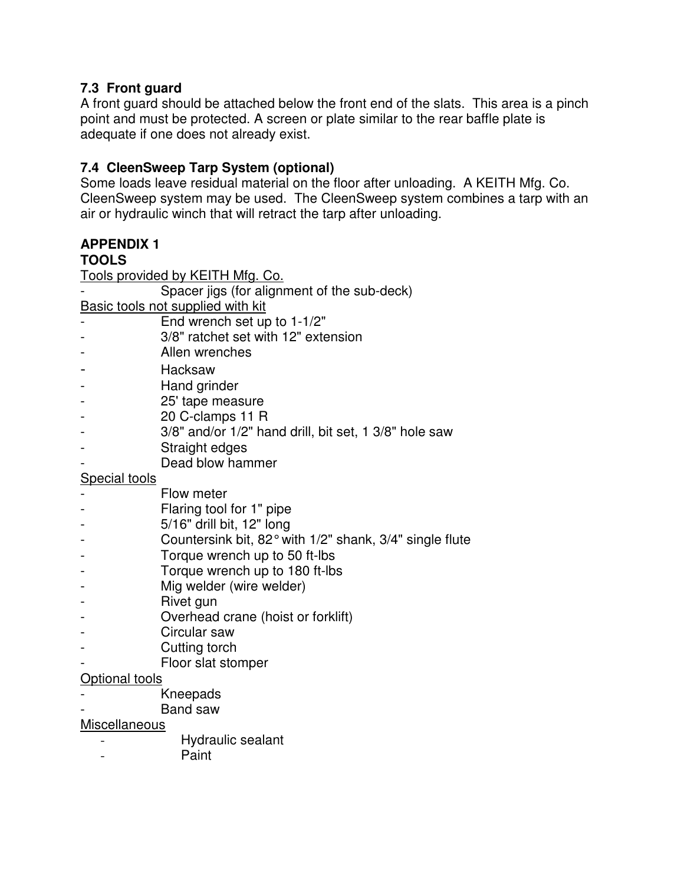### **7.3 Front guard**

A front guard should be attached below the front end of the slats. This area is a pinch point and must be protected. A screen or plate similar to the rear baffle plate is adequate if one does not already exist.

### **7.4 CleenSweep Tarp System (optional)**

Some loads leave residual material on the floor after unloading. A KEITH Mfg. Co. CleenSweep system may be used. The CleenSweep system combines a tarp with an air or hydraulic winch that will retract the tarp after unloading.

# **APPENDIX 1**

### **TOOLS**

|                                   | Tools provided by KEITH Mfg. Co.                                             |  |  |
|-----------------------------------|------------------------------------------------------------------------------|--|--|
|                                   | Spacer jigs (for alignment of the sub-deck)                                  |  |  |
| Basic tools not supplied with kit |                                                                              |  |  |
|                                   | End wrench set up to 1-1/2"                                                  |  |  |
|                                   | 3/8" ratchet set with 12" extension                                          |  |  |
|                                   | Allen wrenches                                                               |  |  |
|                                   | Hacksaw                                                                      |  |  |
|                                   | Hand grinder                                                                 |  |  |
|                                   | 25' tape measure                                                             |  |  |
|                                   | 20 C-clamps 11 R                                                             |  |  |
|                                   | 3/8" and/or 1/2" hand drill, bit set, 1 3/8" hole saw                        |  |  |
|                                   | Straight edges                                                               |  |  |
|                                   | Dead blow hammer                                                             |  |  |
| <b>Special tools</b>              |                                                                              |  |  |
|                                   | Flow meter                                                                   |  |  |
|                                   | Flaring tool for 1" pipe                                                     |  |  |
|                                   | 5/16" drill bit, 12" long                                                    |  |  |
|                                   | Countersink bit, $82^\circ$ with $1/2^\circ$ shank, $3/4^\circ$ single flute |  |  |
|                                   | Torque wrench up to 50 ft-lbs                                                |  |  |
|                                   | Torque wrench up to 180 ft-lbs                                               |  |  |
|                                   | Mig welder (wire welder)                                                     |  |  |
|                                   | Rivet gun                                                                    |  |  |
|                                   | Overhead crane (hoist or forklift)                                           |  |  |
|                                   |                                                                              |  |  |

- Circular saw
- Cutting torch
- Floor slat stomper

### Optional tools

- **Kneepads**
- Band saw

### **Miscellaneous**

- Hydraulic sealant
- Paint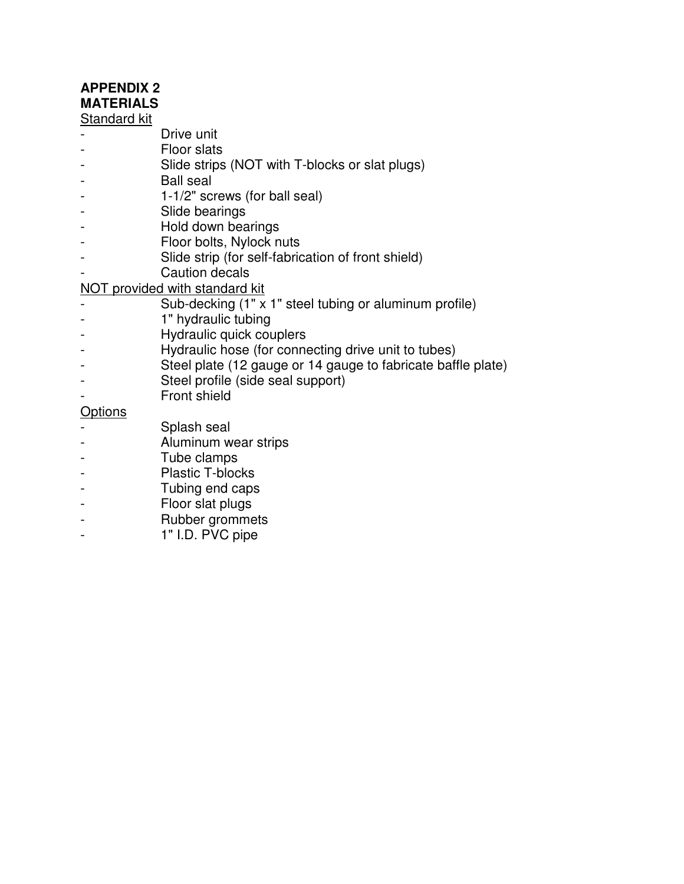## **APPENDIX 2**

### **MATERIALS**

### Standard kit

- Drive unit
- Floor slats
- Slide strips (NOT with T-blocks or slat plugs)
- Ball seal
- 1-1/2" screws (for ball seal)
- Slide bearings
- Hold down bearings
- Floor bolts, Nylock nuts
- Slide strip (for self-fabrication of front shield)
- Caution decals

### NOT provided with standard kit

- Sub-decking  $(1" \times 1"$  steel tubing or aluminum profile)
- 1" hydraulic tubing
- Hydraulic quick couplers
- Hydraulic hose (for connecting drive unit to tubes)
- Steel plate (12 gauge or 14 gauge to fabricate baffle plate)
- Steel profile (side seal support)
- Front shield

### **Options**

- Splash seal
- Aluminum wear strips
- Tube clamps
- Plastic T-blocks
- Tubing end caps
- Floor slat plugs
- Rubber grommets
- 1" I.D. PVC pipe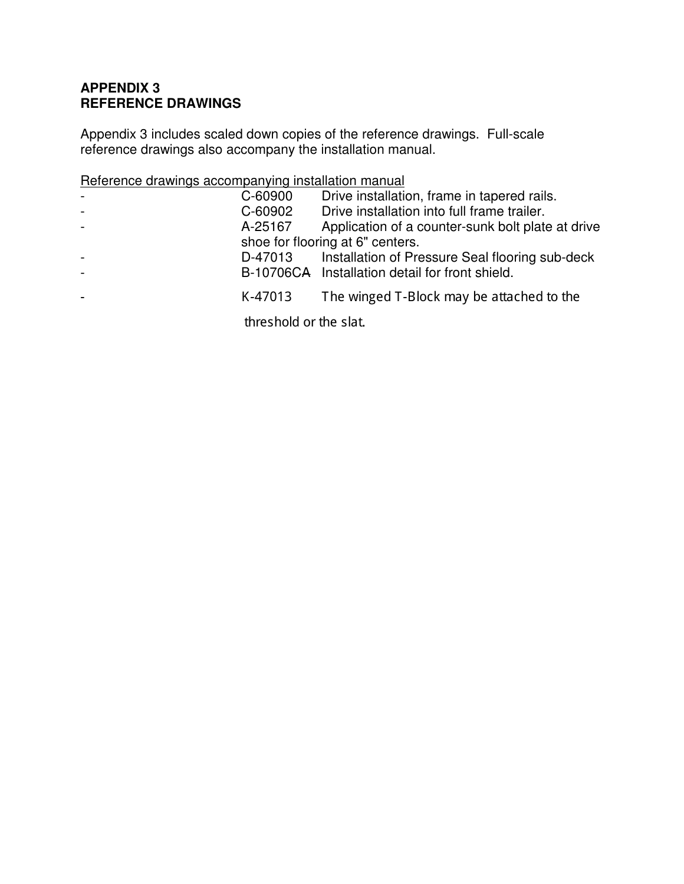### **APPENDIX 3 REFERENCE DRAWINGS**

Appendix 3 includes scaled down copies of the reference drawings. Full-scale reference drawings also accompany the installation manual.

### Reference drawings accompanying installation manual

| $\overline{\phantom{a}}$ | C-60900                | Drive installation, frame in tapered rails.       |
|--------------------------|------------------------|---------------------------------------------------|
| $\blacksquare$           | C-60902                | Drive installation into full frame trailer.       |
| $\blacksquare$           | A-25167                | Application of a counter-sunk bolt plate at drive |
|                          |                        | shoe for flooring at 6" centers.                  |
| $\blacksquare$           | D-47013                | Installation of Pressure Seal flooring sub-deck   |
|                          |                        | B-10706CA Installation detail for front shield.   |
| ۰                        | K-47013                | The winged T-Block may be attached to the         |
|                          | threshold or the slat. |                                                   |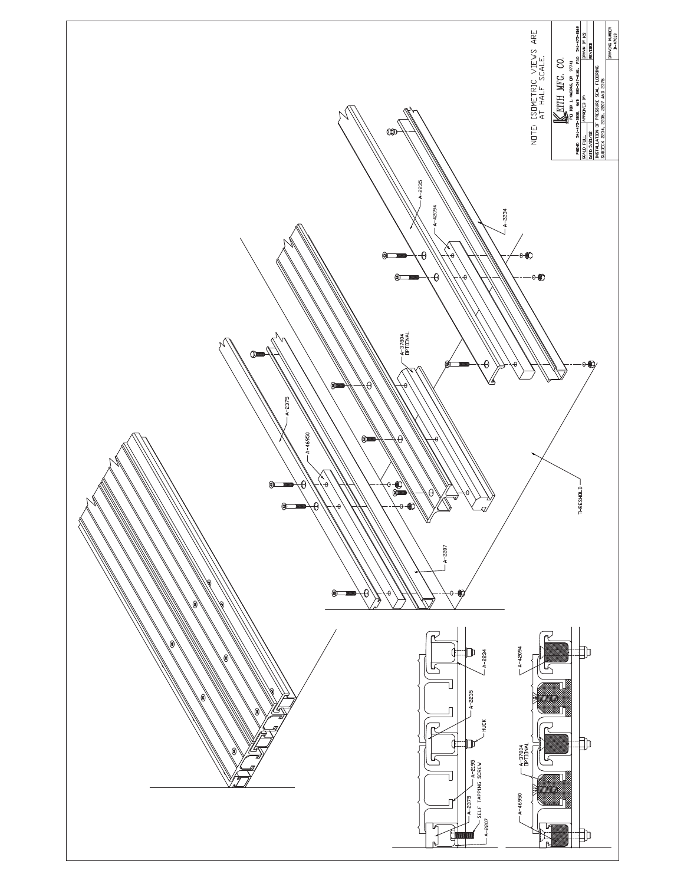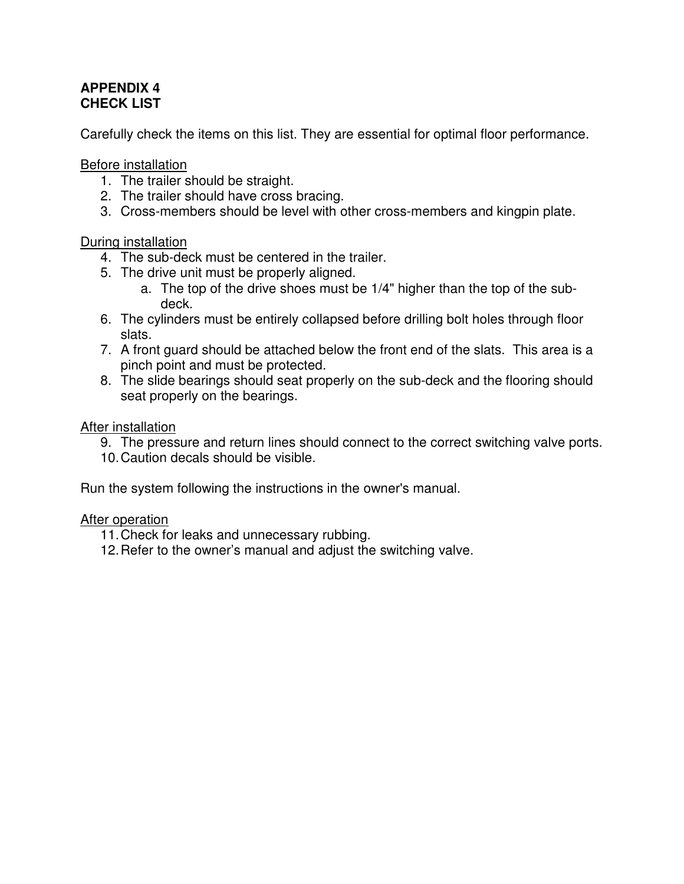### **APPENDIX 4 CHECK LIST**

Carefully check the items on this list. They are essential for optimal floor performance.

Before installation

- 1. The trailer should be straight.
- 2. The trailer should have cross bracing.
- 3. Cross-members should be level with other cross-members and kingpin plate.

### During installation

- 4. The sub-deck must be centered in the trailer.
- 5. The drive unit must be properly aligned.
	- a. The top of the drive shoes must be 1/4" higher than the top of the subdeck.
- 6. The cylinders must be entirely collapsed before drilling bolt holes through floor slats.
- 7. A front guard should be attached below the front end of the slats. This area is a pinch point and must be protected.
- 8. The slide bearings should seat properly on the sub-deck and the flooring should seat properly on the bearings.

### After installation

- 9. The pressure and return lines should connect to the correct switching valve ports.
- 10. Caution decals should be visible.

Run the system following the instructions in the owner's manual.

### After operation

- 11. Check for leaks and unnecessary rubbing.
- 12. Refer to the owner's manual and adjust the switching valve.